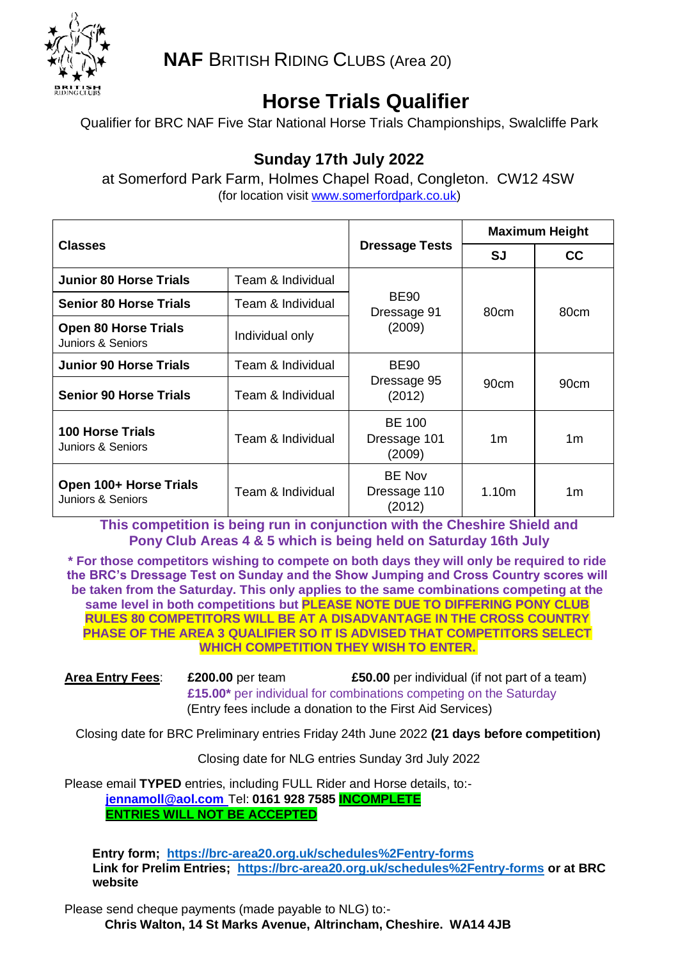

**NAF** BRITISH RIDING CLUBS (Area 20)

# **Horse Trials Qualifier**

Qualifier for BRC NAF Five Star National Horse Trials Championships, Swalcliffe Park

# **Sunday 17th July 2022**

at Somerford Park Farm, Holmes Chapel Road, Congleton. CW12 4SW (for location visit [www.somerfordpark.co.uk\)](http://www.somerfordpark.co.uk/)

| <b>Classes</b>                                   |                   | <b>Dressage Tests</b>                   | <b>Maximum Height</b> |           |
|--------------------------------------------------|-------------------|-----------------------------------------|-----------------------|-----------|
|                                                  |                   |                                         | <b>SJ</b>             | <b>CC</b> |
| <b>Junior 80 Horse Trials</b>                    | Team & Individual | <b>BE90</b><br>Dressage 91<br>(2009)    | 80cm                  | 80cm      |
| <b>Senior 80 Horse Trials</b>                    | Team & Individual |                                         |                       |           |
| <b>Open 80 Horse Trials</b><br>Juniors & Seniors | Individual only   |                                         |                       |           |
| <b>Junior 90 Horse Trials</b>                    | Team & Individual | <b>BE90</b><br>Dressage 95<br>(2012)    | 90cm                  | 90cm      |
| <b>Senior 90 Horse Trials</b>                    | Team & Individual |                                         |                       |           |
| <b>100 Horse Trials</b><br>Juniors & Seniors     | Team & Individual | <b>BE 100</b><br>Dressage 101<br>(2009) | 1m                    | 1m        |
| Open 100+ Horse Trials<br>Juniors & Seniors      | Team & Individual | <b>BE Nov</b><br>Dressage 110<br>(2012) | 1.10m                 | 1m        |

**This competition is being run in conjunction with the Cheshire Shield and Pony Club Areas 4 & 5 which is being held on Saturday 16th July**

**\* For those competitors wishing to compete on both days they will only be required to ride the BRC's Dressage Test on Sunday and the Show Jumping and Cross Country scores will be taken from the Saturday. This only applies to the same combinations competing at the same level in both competitions but PLEASE NOTE DUE TO DIFFERING PONY CLUB RULES 80 COMPETITORS WILL BE AT A DISADVANTAGE IN THE CROSS COUNTRY PHASE OF THE AREA 3 QUALIFIER SO IT IS ADVISED THAT COMPETITORS SELECT WHICH COMPETITION THEY WISH TO ENTER.**

**Area Entry Fees**: **£200.00** per team **£50.00** per individual (if not part of a team) **£15.00\*** per individual for combinations competing on the Saturday (Entry fees include a donation to the First Aid Services)

Closing date for BRC Preliminary entries Friday 24th June 2022 **(21 days before competition)**

Closing date for NLG entries Sunday 3rd July 2022

Please email **TYPED** entries, including FULL Rider and Horse details, to: **[jennamoll@aol.com](mailto:jennamoll@aol.com)** Tel: **0161 928 7585 INCOMPLETE ENTRIES WILL NOT BE ACCEPTED**

 **Entry form; <https://brc-area20.org.uk/schedules%2Fentry-forms> Link for Prelim Entries; <https://brc-area20.org.uk/schedules%2Fentry-forms> or at BRC website**

Please send cheque payments (made payable to NLG) to:- **Chris Walton, 14 St Marks Avenue, Altrincham, Cheshire. WA14 4JB**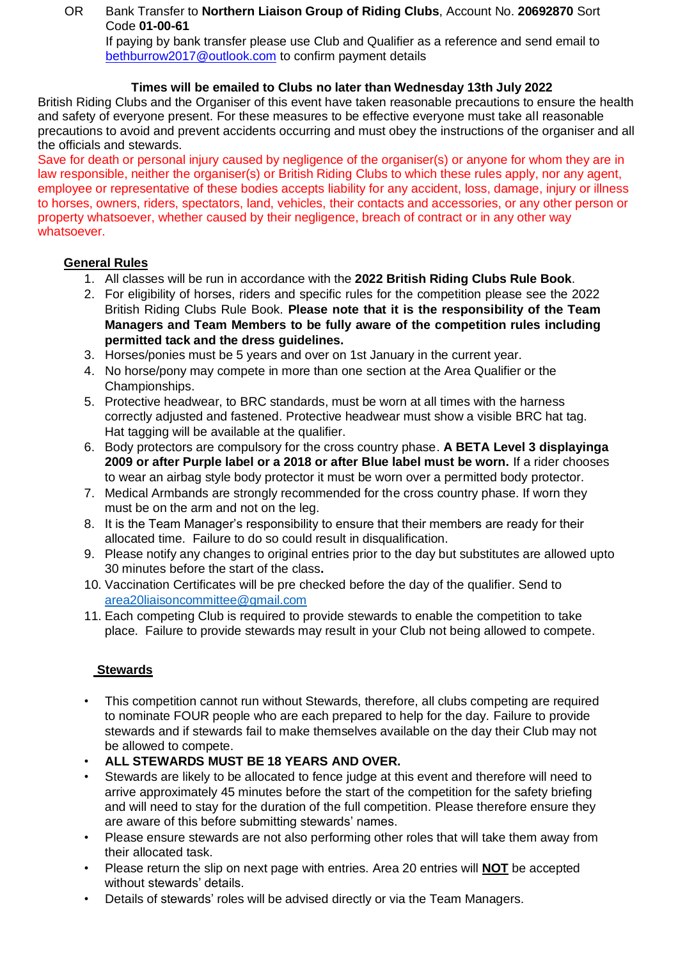### OR Bank Transfer to **Northern Liaison Group of Riding Clubs**, Account No. **20692870** Sort Code **01-00-61**

If paying by bank transfer please use Club and Qualifier as a reference and send email to [bethburrow2017@outlook.com](mailto:bethburrow2017@outlook.com) to confirm payment details

## **Times will be emailed to Clubs no later than Wednesday 13th July 2022**

British Riding Clubs and the Organiser of this event have taken reasonable precautions to ensure the health and safety of everyone present. For these measures to be effective everyone must take all reasonable precautions to avoid and prevent accidents occurring and must obey the instructions of the organiser and all the officials and stewards.

Save for death or personal injury caused by negligence of the organiser(s) or anyone for whom they are in law responsible, neither the organiser(s) or British Riding Clubs to which these rules apply, nor any agent, employee or representative of these bodies accepts liability for any accident, loss, damage, injury or illness to horses, owners, riders, spectators, land, vehicles, their contacts and accessories, or any other person or property whatsoever, whether caused by their negligence, breach of contract or in any other way whatsoever.

### **General Rules**

- 1. All classes will be run in accordance with the **2022 British Riding Clubs Rule Book**.
- 2. For eligibility of horses, riders and specific rules for the competition please see the 2022 British Riding Clubs Rule Book. **Please note that it is the responsibility of the Team Managers and Team Members to be fully aware of the competition rules including permitted tack and the dress guidelines.**
- 3. Horses/ponies must be 5 years and over on 1st January in the current year.
- 4. No horse/pony may compete in more than one section at the Area Qualifier or the Championships.
- 5. Protective headwear, to BRC standards, must be worn at all times with the harness correctly adjusted and fastened. Protective headwear must show a visible BRC hat tag. Hat tagging will be available at the qualifier.
- 6. Body protectors are compulsory for the cross country phase. **A BETA Level 3 displayinga 2009 or after Purple label or a 2018 or after Blue label must be worn.** If a rider chooses to wear an airbag style body protector it must be worn over a permitted body protector.
- 7. Medical Armbands are strongly recommended for the cross country phase. If worn they must be on the arm and not on the leg.
- 8. It is the Team Manager's responsibility to ensure that their members are ready for their allocated time. Failure to do so could result in disqualification.
- 9. Please notify any changes to original entries prior to the day but substitutes are allowed upto 30 minutes before the start of the class**.**
- 10. Vaccination Certificates will be pre checked before the day of the qualifier. Send to [area20liaisoncommittee@gmail.com](mailto:area20liaisoncommittee@gmail.com)
- 11. Each competing Club is required to provide stewards to enable the competition to take place. Failure to provide stewards may result in your Club not being allowed to compete.

### **Stewards**

- This competition cannot run without Stewards, therefore, all clubs competing are required to nominate FOUR people who are each prepared to help for the day. Failure to provide stewards and if stewards fail to make themselves available on the day their Club may not be allowed to compete.
- **ALL STEWARDS MUST BE 18 YEARS AND OVER.**
- Stewards are likely to be allocated to fence judge at this event and therefore will need to arrive approximately 45 minutes before the start of the competition for the safety briefing and will need to stay for the duration of the full competition. Please therefore ensure they are aware of this before submitting stewards' names.
- Please ensure stewards are not also performing other roles that will take them away from their allocated task.
- Please return the slip on next page with entries. Area 20 entries will **NOT** be accepted without stewards' details.
- Details of stewards' roles will be advised directly or via the Team Managers.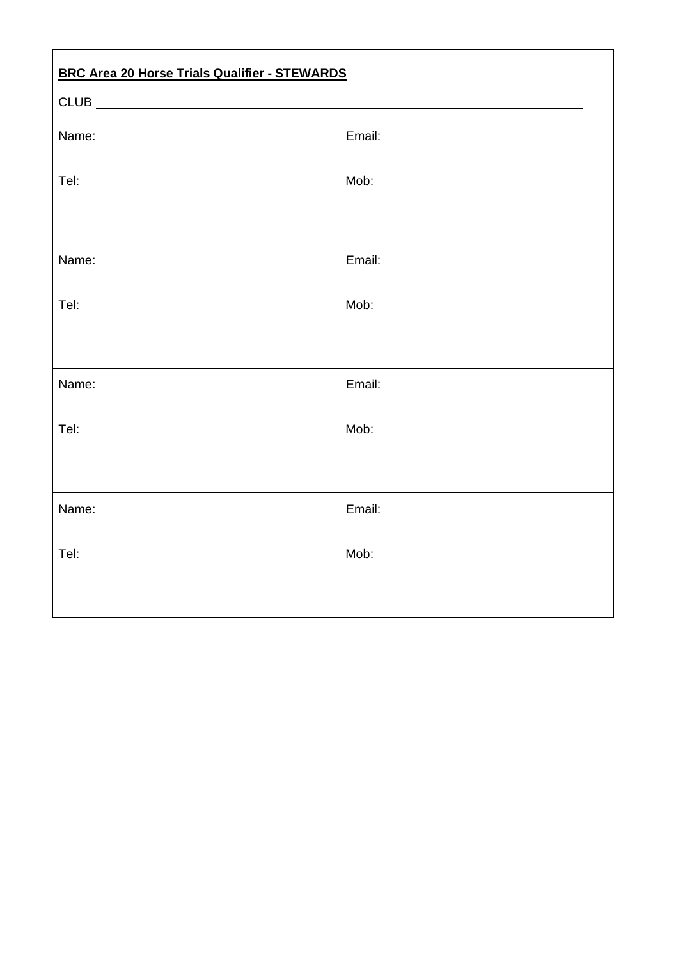| <b>BRC Area 20 Horse Trials Qualifier - STEWARDS</b> |        |  |
|------------------------------------------------------|--------|--|
| $CLUB$ $\qquad \qquad$                               |        |  |
| Name:                                                | Email: |  |
| Tel:                                                 | Mob:   |  |
|                                                      |        |  |
| Name:                                                | Email: |  |
| Tel:                                                 | Mob:   |  |
|                                                      |        |  |
| Name:                                                | Email: |  |
| Tel:                                                 | Mob:   |  |
|                                                      |        |  |
| Name:                                                | Email: |  |
| Tel:                                                 | Mob:   |  |
|                                                      |        |  |